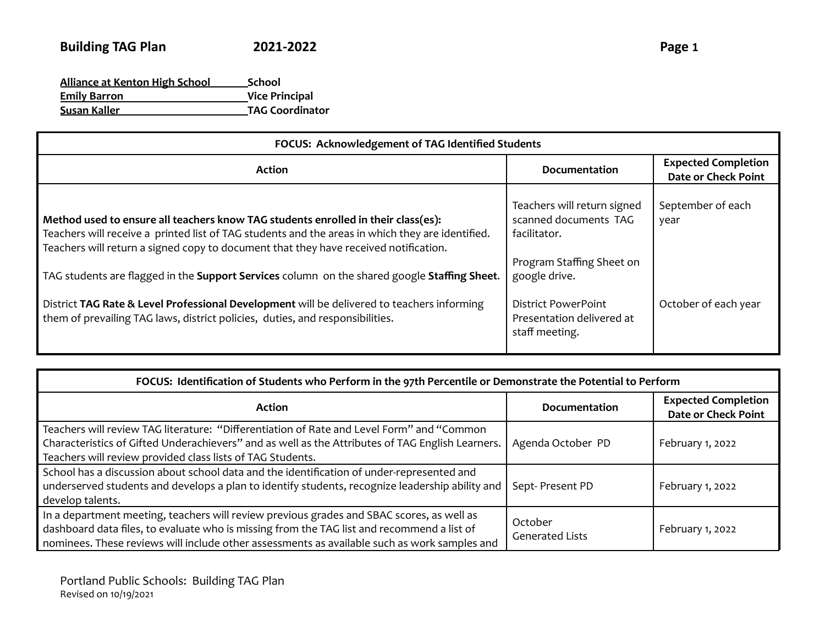| <b>Alliance at Kenton High School</b> | <b>School</b>          |
|---------------------------------------|------------------------|
| <b>Emily Barron</b>                   | <b>Vice Principal</b>  |
| Susan Kaller                          | <b>TAG Coordinator</b> |

| FOCUS: Acknowledgement of TAG Identified Students                                                                                                                                                                                                                                                                                                                                                                                                                           |                                                                                                                                           |                                                          |
|-----------------------------------------------------------------------------------------------------------------------------------------------------------------------------------------------------------------------------------------------------------------------------------------------------------------------------------------------------------------------------------------------------------------------------------------------------------------------------|-------------------------------------------------------------------------------------------------------------------------------------------|----------------------------------------------------------|
| <b>Action</b>                                                                                                                                                                                                                                                                                                                                                                                                                                                               | Documentation                                                                                                                             | <b>Expected Completion</b><br><b>Date or Check Point</b> |
| Method used to ensure all teachers know TAG students enrolled in their class(es):<br>Teachers will receive a printed list of TAG students and the areas in which they are identified.<br>Teachers will return a signed copy to document that they have received notification.<br>TAG students are flagged in the Support Services column on the shared google Staffing Sheet.<br>District TAG Rate & Level Professional Development will be delivered to teachers informing | Teachers will return signed<br>scanned documents TAG<br>facilitator.<br>Program Staffing Sheet on<br>google drive.<br>District PowerPoint | September of each<br>year<br>October of each year        |
| them of prevailing TAG laws, district policies, duties, and responsibilities.                                                                                                                                                                                                                                                                                                                                                                                               | Presentation delivered at<br>staff meeting.                                                                                               |                                                          |

| FOCUS: Identification of Students who Perform in the 97th Percentile or Demonstrate the Potential to Perform                                                                                                                                                                            |                                   |                                                          |
|-----------------------------------------------------------------------------------------------------------------------------------------------------------------------------------------------------------------------------------------------------------------------------------------|-----------------------------------|----------------------------------------------------------|
| <b>Action</b>                                                                                                                                                                                                                                                                           | Documentation                     | <b>Expected Completion</b><br><b>Date or Check Point</b> |
| Teachers will review TAG literature: "Differentiation of Rate and Level Form" and "Common<br>Characteristics of Gifted Underachievers" and as well as the Attributes of TAG English Learners.<br>Teachers will review provided class lists of TAG Students.                             | Agenda October PD                 | February 1, 2022                                         |
| School has a discussion about school data and the identification of under-represented and<br>underserved students and develops a plan to identify students, recognize leadership ability and<br>develop talents.                                                                        | Sept-Present PD                   | February 1, 2022                                         |
| In a department meeting, teachers will review previous grades and SBAC scores, as well as<br>dashboard data files, to evaluate who is missing from the TAG list and recommend a list of<br>nominees. These reviews will include other assessments as available such as work samples and | October<br><b>Generated Lists</b> | February 1, 2022                                         |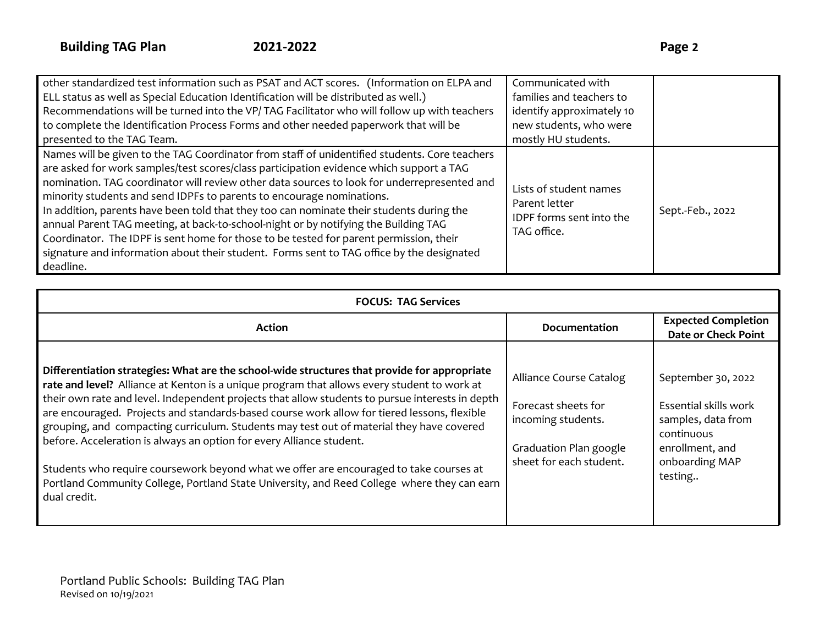| other standardized test information such as PSAT and ACT scores. (Information on ELPA and                                                                                                                                                                                                                                                                                                                                                                                                                                                                                                                                                                                                                                                               | Communicated with                                                                  |                  |
|---------------------------------------------------------------------------------------------------------------------------------------------------------------------------------------------------------------------------------------------------------------------------------------------------------------------------------------------------------------------------------------------------------------------------------------------------------------------------------------------------------------------------------------------------------------------------------------------------------------------------------------------------------------------------------------------------------------------------------------------------------|------------------------------------------------------------------------------------|------------------|
| ELL status as well as Special Education Identification will be distributed as well.)                                                                                                                                                                                                                                                                                                                                                                                                                                                                                                                                                                                                                                                                    | families and teachers to                                                           |                  |
| Recommendations will be turned into the VP/TAG Facilitator who will follow up with teachers                                                                                                                                                                                                                                                                                                                                                                                                                                                                                                                                                                                                                                                             | identify approximately 10                                                          |                  |
| to complete the Identification Process Forms and other needed paperwork that will be                                                                                                                                                                                                                                                                                                                                                                                                                                                                                                                                                                                                                                                                    | new students, who were                                                             |                  |
| presented to the TAG Team.                                                                                                                                                                                                                                                                                                                                                                                                                                                                                                                                                                                                                                                                                                                              | mostly HU students.                                                                |                  |
| Names will be given to the TAG Coordinator from staff of unidentified students. Core teachers<br>are asked for work samples/test scores/class participation evidence which support a TAG<br>nomination. TAG coordinator will review other data sources to look for underrepresented and<br>minority students and send IDPFs to parents to encourage nominations.<br>In addition, parents have been told that they too can nominate their students during the<br>annual Parent TAG meeting, at back-to-school-night or by notifying the Building TAG<br>Coordinator. The IDPF is sent home for those to be tested for parent permission, their<br>signature and information about their student. Forms sent to TAG office by the designated<br>deadline. | Lists of student names<br>Parent letter<br>IDPF forms sent into the<br>TAG office. | Sept.-Feb., 2022 |

| <b>FOCUS: TAG Services</b>                                                                                                                                                                                                                                                                                                                                                                                                                                                                                                                                                                                                                                                                                                                                                 |                                                                                                                           |                                                                                                                                 |
|----------------------------------------------------------------------------------------------------------------------------------------------------------------------------------------------------------------------------------------------------------------------------------------------------------------------------------------------------------------------------------------------------------------------------------------------------------------------------------------------------------------------------------------------------------------------------------------------------------------------------------------------------------------------------------------------------------------------------------------------------------------------------|---------------------------------------------------------------------------------------------------------------------------|---------------------------------------------------------------------------------------------------------------------------------|
| <b>Action</b>                                                                                                                                                                                                                                                                                                                                                                                                                                                                                                                                                                                                                                                                                                                                                              | <b>Documentation</b>                                                                                                      | <b>Expected Completion</b><br><b>Date or Check Point</b>                                                                        |
| Differentiation strategies: What are the school-wide structures that provide for appropriate<br>rate and level? Alliance at Kenton is a unique program that allows every student to work at<br>their own rate and level. Independent projects that allow students to pursue interests in depth<br>are encouraged. Projects and standards-based course work allow for tiered lessons, flexible<br>grouping, and compacting curriculum. Students may test out of material they have covered<br>before. Acceleration is always an option for every Alliance student.<br>Students who require coursework beyond what we offer are encouraged to take courses at<br>Portland Community College, Portland State University, and Reed College where they can earn<br>dual credit. | Alliance Course Catalog<br>Forecast sheets for<br>incoming students.<br>Graduation Plan google<br>sheet for each student. | September 30, 2022<br>Essential skills work<br>samples, data from<br>continuous<br>enrollment, and<br>onboarding MAP<br>testing |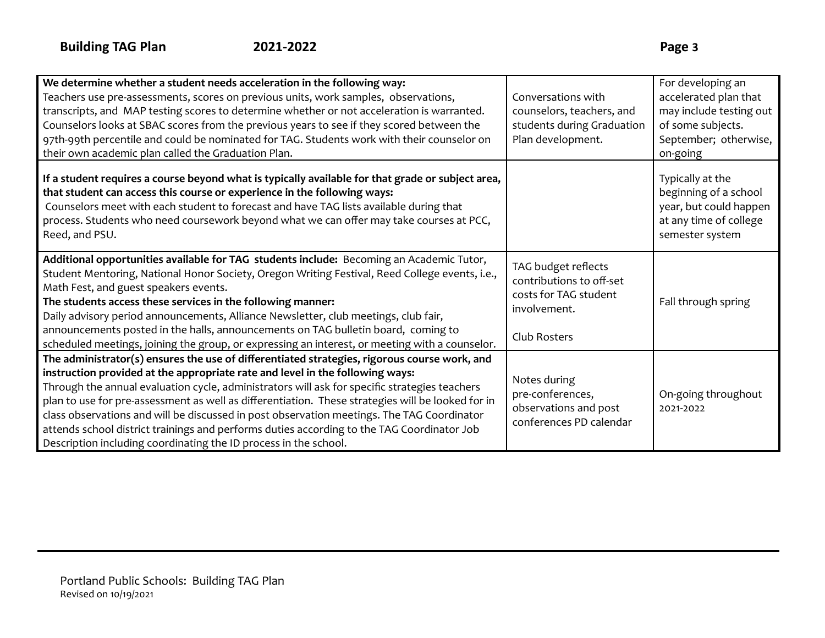| We determine whether a student needs acceleration in the following way:<br>Teachers use pre-assessments, scores on previous units, work samples, observations,                                                                                                                                                                                                                                                                                                                                                                                                                                                                                      | Conversations with                                                                                       | For developing an<br>accelerated plan that                                                                       |
|-----------------------------------------------------------------------------------------------------------------------------------------------------------------------------------------------------------------------------------------------------------------------------------------------------------------------------------------------------------------------------------------------------------------------------------------------------------------------------------------------------------------------------------------------------------------------------------------------------------------------------------------------------|----------------------------------------------------------------------------------------------------------|------------------------------------------------------------------------------------------------------------------|
| transcripts, and MAP testing scores to determine whether or not acceleration is warranted.                                                                                                                                                                                                                                                                                                                                                                                                                                                                                                                                                          | counselors, teachers, and                                                                                | may include testing out                                                                                          |
| Counselors looks at SBAC scores from the previous years to see if they scored between the                                                                                                                                                                                                                                                                                                                                                                                                                                                                                                                                                           | students during Graduation                                                                               | of some subjects.                                                                                                |
| 97th-99th percentile and could be nominated for TAG. Students work with their counselor on                                                                                                                                                                                                                                                                                                                                                                                                                                                                                                                                                          | Plan development.                                                                                        | September; otherwise,                                                                                            |
| their own academic plan called the Graduation Plan.                                                                                                                                                                                                                                                                                                                                                                                                                                                                                                                                                                                                 |                                                                                                          | on-going                                                                                                         |
| If a student requires a course beyond what is typically available for that grade or subject area,<br>that student can access this course or experience in the following ways:<br>Counselors meet with each student to forecast and have TAG lists available during that<br>process. Students who need coursework beyond what we can offer may take courses at PCC,<br>Reed, and PSU.                                                                                                                                                                                                                                                                |                                                                                                          | Typically at the<br>beginning of a school<br>year, but could happen<br>at any time of college<br>semester system |
| Additional opportunities available for TAG students include: Becoming an Academic Tutor,<br>Student Mentoring, National Honor Society, Oregon Writing Festival, Reed College events, i.e.,<br>Math Fest, and guest speakers events.<br>The students access these services in the following manner:<br>Daily advisory period announcements, Alliance Newsletter, club meetings, club fair,<br>announcements posted in the halls, announcements on TAG bulletin board, coming to<br>scheduled meetings, joining the group, or expressing an interest, or meeting with a counselor.                                                                    | TAG budget reflects<br>contributions to off-set<br>costs for TAG student<br>involvement.<br>Club Rosters | Fall through spring                                                                                              |
| The administrator(s) ensures the use of differentiated strategies, rigorous course work, and<br>instruction provided at the appropriate rate and level in the following ways:<br>Through the annual evaluation cycle, administrators will ask for specific strategies teachers<br>plan to use for pre-assessment as well as differentiation. These strategies will be looked for in<br>class observations and will be discussed in post observation meetings. The TAG Coordinator<br>attends school district trainings and performs duties according to the TAG Coordinator Job<br>Description including coordinating the ID process in the school. | Notes during<br>pre-conferences,<br>observations and post<br>conferences PD calendar                     | On-going throughout<br>2021-2022                                                                                 |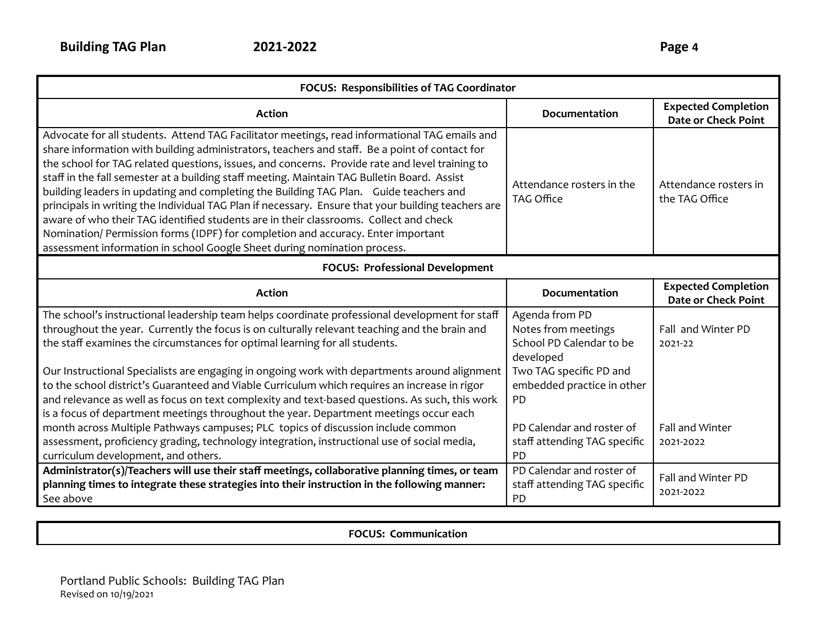| FOCUS: Responsibilities of TAG Coordinator                                                                                                                                                                                                                                                                                                                                                                                                                                                                                                                                                                                                                                                                                                                                                                                                              |                                                                                                           |                                                          |  |
|---------------------------------------------------------------------------------------------------------------------------------------------------------------------------------------------------------------------------------------------------------------------------------------------------------------------------------------------------------------------------------------------------------------------------------------------------------------------------------------------------------------------------------------------------------------------------------------------------------------------------------------------------------------------------------------------------------------------------------------------------------------------------------------------------------------------------------------------------------|-----------------------------------------------------------------------------------------------------------|----------------------------------------------------------|--|
| <b>Action</b>                                                                                                                                                                                                                                                                                                                                                                                                                                                                                                                                                                                                                                                                                                                                                                                                                                           | Documentation                                                                                             | <b>Expected Completion</b><br><b>Date or Check Point</b> |  |
| Advocate for all students. Attend TAG Facilitator meetings, read informational TAG emails and<br>share information with building administrators, teachers and staff. Be a point of contact for<br>the school for TAG related questions, issues, and concerns. Provide rate and level training to<br>staff in the fall semester at a building staff meeting. Maintain TAG Bulletin Board. Assist<br>building leaders in updating and completing the Building TAG Plan. Guide teachers and<br>principals in writing the Individual TAG Plan if necessary. Ensure that your building teachers are<br>aware of who their TAG identified students are in their classrooms. Collect and check<br>Nomination/ Permission forms (IDPF) for completion and accuracy. Enter important<br>assessment information in school Google Sheet during nomination process. | Attendance rosters in the<br>TAG Office                                                                   | Attendance rosters in<br>the TAG Office                  |  |
| <b>FOCUS: Professional Development</b>                                                                                                                                                                                                                                                                                                                                                                                                                                                                                                                                                                                                                                                                                                                                                                                                                  |                                                                                                           |                                                          |  |
| <b>Action</b>                                                                                                                                                                                                                                                                                                                                                                                                                                                                                                                                                                                                                                                                                                                                                                                                                                           | <b>Documentation</b>                                                                                      | <b>Expected Completion</b><br><b>Date or Check Point</b> |  |
| The school's instructional leadership team helps coordinate professional development for staff<br>throughout the year. Currently the focus is on culturally relevant teaching and the brain and<br>the staff examines the circumstances for optimal learning for all students.<br>Our Instructional Specialists are engaging in ongoing work with departments around alignment                                                                                                                                                                                                                                                                                                                                                                                                                                                                          | Agenda from PD<br>Notes from meetings<br>School PD Calendar to be<br>developed<br>Two TAG specific PD and | Fall and Winter PD<br>2021-22                            |  |
| to the school district's Guaranteed and Viable Curriculum which requires an increase in rigor<br>and relevance as well as focus on text complexity and text-based questions. As such, this work<br>is a focus of department meetings throughout the year. Department meetings occur each                                                                                                                                                                                                                                                                                                                                                                                                                                                                                                                                                                | embedded practice in other<br>PD                                                                          |                                                          |  |
| month across Multiple Pathways campuses; PLC topics of discussion include common<br>assessment, proficiency grading, technology integration, instructional use of social media,<br>curriculum development, and others.                                                                                                                                                                                                                                                                                                                                                                                                                                                                                                                                                                                                                                  | PD Calendar and roster of<br>staff attending TAG specific<br>PD                                           | Fall and Winter<br>2021-2022                             |  |
| Administrator(s)/Teachers will use their staff meetings, collaborative planning times, or team<br>planning times to integrate these strategies into their instruction in the following manner:<br>See above                                                                                                                                                                                                                                                                                                                                                                                                                                                                                                                                                                                                                                             | PD Calendar and roster of<br>staff attending TAG specific<br><b>PD</b>                                    | Fall and Winter PD<br>2021-2022                          |  |

**FOCUS: Communication**